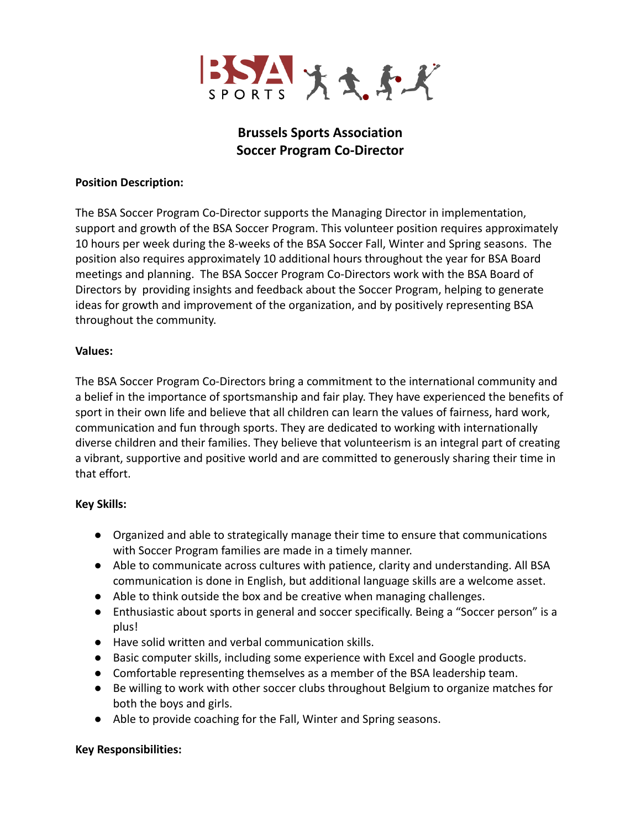

# **Brussels Sports Association Soccer Program Co-Director**

#### **Position Description:**

The BSA Soccer Program Co-Director supports the Managing Director in implementation, support and growth of the BSA Soccer Program. This volunteer position requires approximately 10 hours per week during the 8-weeks of the BSA Soccer Fall, Winter and Spring seasons. The position also requires approximately 10 additional hours throughout the year for BSA Board meetings and planning. The BSA Soccer Program Co-Directors work with the BSA Board of Directors by providing insights and feedback about the Soccer Program, helping to generate ideas for growth and improvement of the organization, and by positively representing BSA throughout the community.

### **Values:**

The BSA Soccer Program Co-Directors bring a commitment to the international community and a belief in the importance of sportsmanship and fair play. They have experienced the benefits of sport in their own life and believe that all children can learn the values of fairness, hard work, communication and fun through sports. They are dedicated to working with internationally diverse children and their families. They believe that volunteerism is an integral part of creating a vibrant, supportive and positive world and are committed to generously sharing their time in that effort.

## **Key Skills:**

- Organized and able to strategically manage their time to ensure that communications with Soccer Program families are made in a timely manner.
- Able to communicate across cultures with patience, clarity and understanding. All BSA communication is done in English, but additional language skills are a welcome asset.
- Able to think outside the box and be creative when managing challenges.
- Enthusiastic about sports in general and soccer specifically. Being a "Soccer person" is a plus!
- Have solid written and verbal communication skills.
- Basic computer skills, including some experience with Excel and Google products.
- Comfortable representing themselves as a member of the BSA leadership team.
- Be willing to work with other soccer clubs throughout Belgium to organize matches for both the boys and girls.
- Able to provide coaching for the Fall, Winter and Spring seasons.

#### **Key Responsibilities:**